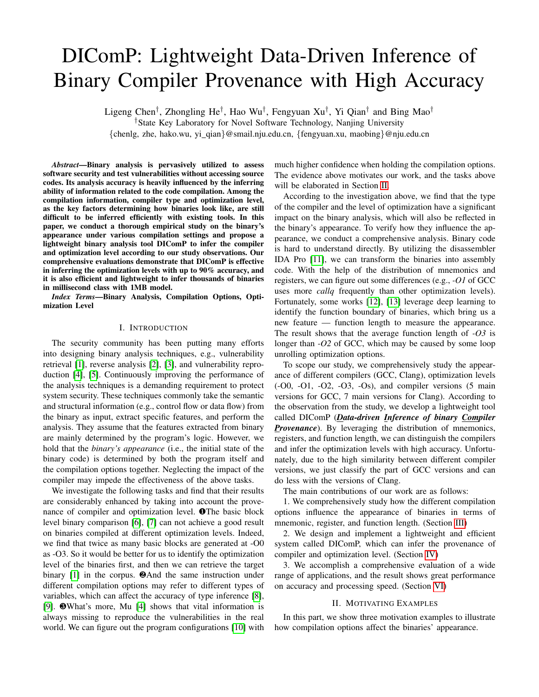# DIComP: Lightweight Data-Driven Inference of Binary Compiler Provenance with High Accuracy

Ligeng Chen<sup>†</sup>, Zhongling He<sup>†</sup>, Hao Wu<sup>†</sup>, Fengyuan Xu<sup>†</sup>, Yi Qian<sup>†</sup> and Bing Mao<sup>†</sup> †State Key Laboratory for Novel Software Technology, Nanjing University {chenlg, zhe, hako.wu, yi qian}@smail.nju.edu.cn, {fengyuan.xu, maobing}@nju.edu.cn

*Abstract*—Binary analysis is pervasively utilized to assess software security and test vulnerabilities without accessing source codes. Its analysis accuracy is heavily influenced by the inferring ability of information related to the code compilation. Among the compilation information, compiler type and optimization level, as the key factors determining how binaries look like, are still difficult to be inferred efficiently with existing tools. In this paper, we conduct a thorough empirical study on the binary's appearance under various compilation settings and propose a lightweight binary analysis tool DIComP to infer the compiler and optimization level according to our study observations. Our comprehensive evaluations demonstrate that DIComP is effective in inferring the optimization levels with up to 90% accuracy, and it is also efficient and lightweight to infer thousands of binaries in millisecond class with 1MB model.

*Index Terms*—Binary Analysis, Compilation Options, Optimization Level

## I. INTRODUCTION

The security community has been putting many efforts into designing binary analysis techniques, e.g., vulnerability retrieval [\[1\]](#page-10-0), reverse analysis [\[2\]](#page-10-1), [\[3\]](#page-10-2), and vulnerability reproduction [\[4\]](#page-10-3), [\[5\]](#page-10-4). Continuously improving the performance of the analysis techniques is a demanding requirement to protect system security. These techniques commonly take the semantic and structural information (e.g., control flow or data flow) from the binary as input, extract specific features, and perform the analysis. They assume that the features extracted from binary are mainly determined by the program's logic. However, we hold that the *binary's appearance* (i.e., the initial state of the binary code) is determined by both the program itself and the compilation options together. Neglecting the impact of the compiler may impede the effectiveness of the above tasks.

We investigate the following tasks and find that their results are considerably enhanced by taking into account the provenance of compiler and optimization level. ❶The basic block level binary comparison [\[6\]](#page-10-5), [\[7\]](#page-10-6) can not achieve a good result on binaries compiled at different optimization levels. Indeed, we find that twice as many basic blocks are generated at -O0 as -O3. So it would be better for us to identify the optimization level of the binaries first, and then we can retrieve the target binary [\[1\]](#page-10-0) in the corpus. ❷And the same instruction under different compilation options may refer to different types of variables, which can affect the accuracy of type inference [\[8\]](#page-10-7), [\[9\]](#page-10-8). ❸What's more, Mu [\[4\]](#page-10-3) shows that vital information is always missing to reproduce the vulnerabilities in the real world. We can figure out the program configurations [\[10\]](#page-10-9) with much higher confidence when holding the compilation options. The evidence above motivates our work, and the tasks above will be elaborated in Section [II.](#page-0-0)

According to the investigation above, we find that the type of the compiler and the level of optimization have a significant impact on the binary analysis, which will also be reflected in the binary's appearance. To verify how they influence the appearance, we conduct a comprehensive analysis. Binary code is hard to understand directly. By utilizing the disassembler IDA Pro [\[11\]](#page-10-10), we can transform the binaries into assembly code. With the help of the distribution of mnemonics and registers, we can figure out some differences (e.g., *-O1* of GCC uses more *callq* frequently than other optimization levels). Fortunately, some works [\[12\]](#page-10-11), [\[13\]](#page-10-12) leverage deep learning to identify the function boundary of binaries, which bring us a new feature — function length to measure the appearance. The result shows that the average function length of *-O3* is longer than *-O2* of GCC, which may be caused by some loop unrolling optimization options.

To scope our study, we comprehensively study the appearance of different compilers (GCC, Clang), optimization levels (-O0, -O1, -O2, -O3, -Os), and compiler versions (5 main versions for GCC, 7 main versions for Clang). According to the observation from the study, we develop a lightweight tool called DIComP (*Data-driven Inference of binary Compiler Provenance*). By leveraging the distribution of mnemonics, registers, and function length, we can distinguish the compilers and infer the optimization levels with high accuracy. Unfortunately, due to the high similarity between different compiler versions, we just classify the part of GCC versions and can do less with the versions of Clang.

The main contributions of our work are as follows:

1. We comprehensively study how the different compilation options influence the appearance of binaries in terms of mnemonic, register, and function length. (Section [III\)](#page-1-0)

2. We design and implement a lightweight and efficient system called DIComP, which can infer the provenance of compiler and optimization level. (Section IV)

3. We accomplish a comprehensive evaluation of a wide range of applications, and the result shows great performance on accuracy and processing speed. (Section VI)

### II. MOTIVATING EXAMPLES

<span id="page-0-0"></span>In this part, we show three motivation examples to illustrate how compilation options affect the binaries' appearance.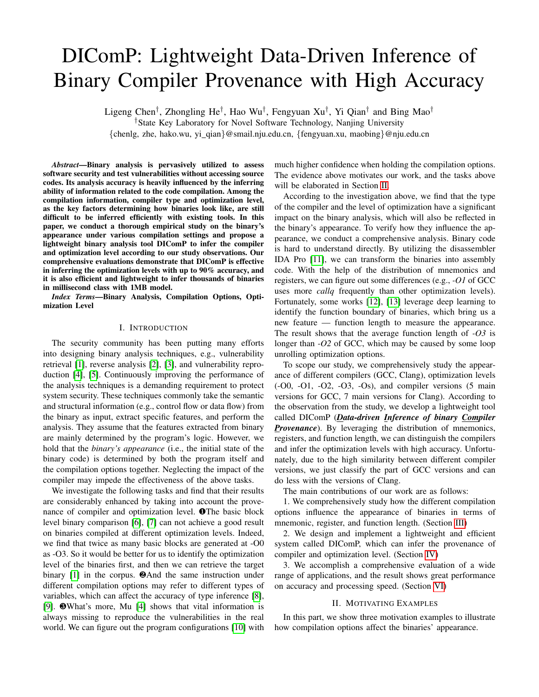Case 1: Binary Similarity. Binary similarity analysis [\[14\]](#page-10-13), [\[15\]](#page-10-14) aims to measure the similarity between pairs of binaries [\[1\]](#page-10-0), [\[6\]](#page-10-5), [\[7\]](#page-10-6), which is often used in malware detection [1]. A precise similarity measurement can bring better detection results. Here, we experiment with a widely-used similaritymeasurement tool BinDiff [\[7\]](#page-10-6). As shown in the Figure [1,](#page-1-1) we cross-compare the binaries compiled from *libxml* with 25 different combinations of compilation options (5 versions of GCC  $\times$  5 optimization levels). Figure [1a](#page-1-1)) presents the overall result, and Figure [1b](#page-1-1)) elaborates the result in the same compiler version. The darker the grids, the more similar they are and vice versa. It shows that the optimization level has a great impact on the binary similarity comparison, while the version has less influence.

<span id="page-1-1"></span>

Fig. 1: Similarity of binaries compiled from the same source code with different optimization levels.

Case 2: Type Inference. Type inference [\[8\]](#page-10-7), [\[9\]](#page-10-8) aims to reconstruct the variables' types from the binary code, which is a requirement of reverse engineering [\[3\]](#page-10-2). Existing type inference efforts do not take into account the impact of the compilation, and we find that ignoring the compiler's impact can affect the inference result. For example, the instruction *'lea 0xOFFSET(%rsp), %rax'* can respectively represents the operation of variable type *point-to-char* and *struct* in different instruction contexts when the binary is compiled with different compilation options. If we know the compilation options, we can achieve better inference results. We evaluate how the type inference [\[8\]](#page-10-7) benefit from DIComP, result of which is shown in Table [I.](#page-1-2) The results show that knowing the compilation options can improve the inference accuracy (ACC) by 6:5%. TABLE I: Fine-grained result of inferring variable types. Column 1 and 2 are the compilation options.Column 3 is the number of variables to infer. Column 4 is the inference results without knowing the compilation results. Column 5 is the inference results when the compiler type is given. Column 6 is the inference results when both the compiler type and optimization level are given.

<span id="page-1-2"></span>

|       |                | <b>SUPPORT</b> | ACC (Mixed) | $\overline{ACC}$ (C.) | ACC $(C.\& O.L.)$ |
|-------|----------------|----------------|-------------|-----------------------|-------------------|
|       | O <sub>0</sub> | 102394         | 0.721       | 0.779                 | 0.802             |
|       | $\Omega$       | 20238          | 0.613       | 0.624                 | 0.642             |
| GCC   | O <sub>2</sub> | 19007          | 0.567       | 0.568                 | 0.579             |
|       | O <sub>3</sub> | 18135          | 0.566       | 0.557                 | 0.566             |
|       | Total          | 159774         | 0.669       | 0.709                 | 0.728             |
|       | O <sub>0</sub> | 105660         | 0.722       | 0.739                 | 0.747             |
|       | $\Omega$       | 3159           | 0.525       | 0.525                 | 0.525             |
| Clang | O <sub>2</sub> | 2893           | 0.457       | 0.464                 | 0.473             |
|       | O <sub>3</sub> | 2883           | 0.462       | 0.463                 | 0.468             |
|       | Total          | 114595         | 0.703       | 0.719                 | 0.727             |



the compilation. Some vulnerabilities can only be reproduced by enabling some specific configuration during compilation. For example, CVE-2018-9251 [\[16\]](#page-10-15) can only be triggered by turning on '-with-lzma' under specific compilation options. Ensuring the consistency of compilation options as much as possible can greatly help users to reproduce the vulnerability. We experiment to identify the problematic configurations on 21 configuration-related vulnerabilities [\[17\]](#page-10-16) from 4 wellknown applications (i.e., libxml, OpenSSL, PHP, proftpd). Reproduction of this kind of vulnerability contains 3 steps: compilation option inference, configuration inference, locating vulnerability. Our tool dramatically compresses the search space of compilation options' combination, which saves time for compilation option inference. On average, it helps saving half of the processing time.

### III. EXPLORATORY ANALYSIS

<span id="page-1-0"></span>We focus on analyzing stripped binaries. Due to the low readability of stripped binaries and the limited information provided, we focus on how the compilation options affect the distribution of mnemonics, registers, and function lengths.

Data set. We create a comprehensive training data set from several open-source software projects, over 28,000 binaries in total. Here we enumerate some projects of different categories: OS tools (coreutils, binutils, etc), network programs (PHP, nginx, etc), computationally intensive programs (pdf, zlib, etc), and projects like Python which integrate packages of different categories. In total, over 28,000 binaries are used for analysis. We choose popular projects that reveal the distribution of appearance in reality. For the need of investigation, we build each project with different optimization levels (*-O0* to *-O3* and *-Os*), and with different versions of GCC (version 5, 6, 7, 8, 9) and Clang (version 3.9, 4, 5, 6, 7, 8, 9).

We choose GCC [\[18\]](#page-10-17) and Clang [\[19\]](#page-10-18) because they are the most widely used compilers at present. And we also choose different versions that are currently in use.

In the following subsections, we will control the variables and discuss how the different compilation options influence the distribution of mnemonics, registers, and function lengths.

#### *A. Compiler*

Firstly, we investigate how the compiler influences the appearance of binaries. We take GCC and Clang as the targets because they are the most popular compilers among open source projects. GCC is a part of the GNU toolchain, which has a large number of users. And almost all the Linux software supports the compilation using GCC. As a rising star, Clang has a more complete system design and a large number of community contributors. And Clang can generate intermediate code from the source code. So that many security analysts use Clang as the front end for program analysis.

To focus on the compiler, we leave all the other options aside. We divide our data set into two parts — compiled from GCC and compiled from Clang. That is to say, the part compiled from GCC is mixed by the binaries compiled from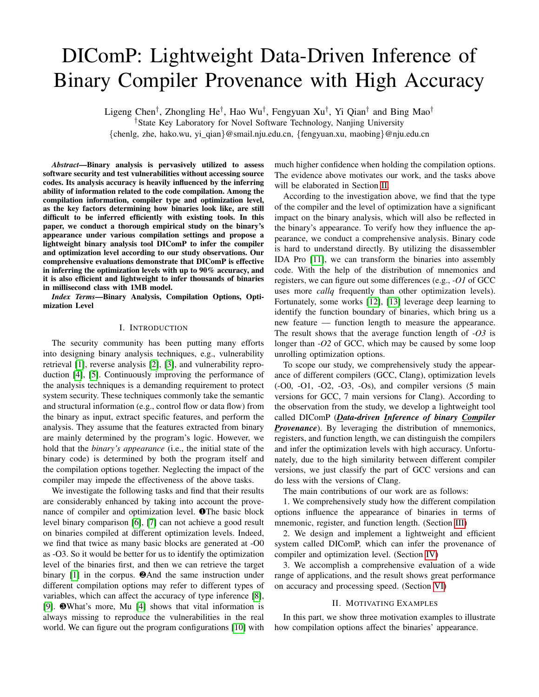Fig. 2: Distribution of mnemonic (left) and registers (right) divided by the granularity of compiler, optimization level, and compiler version.

different optimization levels and compiler versions of GCC6 denote the pointer registers used to maintain the original So as Clang. data, row 7 denotes the miscellaneous registers saved by the

Mnemonics. As we can see on the left side of Figure 2caller, row 8 and 9 denote the miscellaneous registers saved GCC and Clang seem to have a similar usage of mnemoniby the callee, row 10 to 13 denote the general registers. Some So we list the mnemonics in Table II, of which frequency offegisters can be partially used, which appear as a new name. appearance is in the top 5 (left side), and which have the m**Ja**ke the counting regist&frcx as an example, which is a 64different distribution (right side) between GCC and Clang. bit register. Registe%ecxis the 32 bits version with similar

For example,36:954% for mov indicates that mnemonic functionality, of which%cx is the lower 16 bits%ch and%cl mov represents36:954% of all the mnemonics which are is the higher 8 bits and the lower 8 bits &cx Meanwhile, collected from the binaries in the dataset compiled fromegisters%r8, %r8d, %r8b, %r8w have the same relationships GCC. Columns 1 to 3 show the most frequently appearing th the registers above. We group these registers into their mnemonics. As for the mnemoniea, it appears much more own family, and we select some of them which can show the frequently in GCC than Clang. Column 4 to 6 present thetiverse distribution of different compilation options.

mnemonics which have the most different distribution of GCC TABLE III: Selected registers partially inuenced by compiler. and Clang. We takemovabsandmovupsas the example, and both of them hardly appear in the binaries compiled by Clang. But they only appear one fth the frequency in the binaries compiled by GCC, which may be an obvious feature to identify the compiler. Although the distribution of mnemonics between GCC and Clang is slightly different in the gure, we still can mine the in uence of compiler from the data listed in the table. TABLE II: Selected mnemonics partially in uenced by compiler.

| Mnemonic | GCC     | Clang   | Mnemonic | GCC    | Clang  |
|----------|---------|---------|----------|--------|--------|
| mov      | 36.954% | 37.060% | xor      | 2.190% | 2.823% |
| callg    | 6.70%   | 6.574%  | jmpg     | 2.817% | 3.322% |
| lea      | 5.333%  | 3.054%  | add      | 3.293% | 3.775% |
| ie       | 4.210%  | 3.856%  | movabs   | 0.101% | 0.510% |
| cmp      | 3.741%  | 4.079%  | movups   | 0.073% | 0.428% |

| Register | GCC    | Clang     | Register        | GCC     | Clang   |
|----------|--------|-----------|-----------------|---------|---------|
| $%$ ecx  | 1.835% | 3.640%    | %edx            | 3.680%  | 2.905%  |
| $%$ rcx  | 2.854% | 5.640%    | %rdx            | 5.871%  | 3.731%  |
| $%$ cl   | 0.298% | 0.737%    | %cx             | 0.039%  | 0.103%  |
| %ebp     | 0.597% | 1.086%    | %rbp            | 9.923%  | 11.054% |
| %rsp     | 5.629% | 5.139%    | $%$ rbx         | 5.106%  | 5.327%  |
| %r10d    | 0.238% | 0.153%    | %r11d           | 0.178%  | 0.113%  |
| %r12     | 2.164% | 2.058%    | %r14            | 1.487%  | 2.936%  |
| %r13     | 1.667% | 1.782%    | %r15            | 1.403%  | 2.469%  |
| %cs      | 0.219% | $0.500\%$ | %eax            | 9.065%  | 6.960%  |
| %ds      | 0.049% | 0.002%    | % <sub>ax</sub> | 19.868% | 15.666% |
| %es      | 0.087% | 0.003%    | %rip            | 3.603%  | 2.246%  |
| %fs      | 0.318% | 0.010%    |                 |         |         |

GCC and Clang have different preferences in choosing registers. According to the table, Clang prefers uslagex %rcs, %cl to pass parameters, while GCC prefers using tx

Registers. Mnemonic plays the role of an operator, while%rdx, %cx As for accountof%eaxand%rax, GCC uses them the register acts as a container. As shown on the right sidere frequently than Clang. The segment register is rarely of Figure 2, we can roughly observe the statistical results ased for both of GCC and Clang. But we have a much lower register distribution. The gure presents the obvious differ probability of seeing%dsand%esin Clang compiled binaries. ence between compilers, such as that GCC 06698 more frequently than Clang. We classify the registers by their usage typically stripped of much information about the source and discuss how the compiler in uences them respectively.code. According to the different compiler behaviors, optimiza-Expansion Rate.COTS (commercial off-the-shelf) binaries

As shown in Table III, some differences are easier to bion options, and the version updated, the size of the binaries found in the table rather than in the gure. Due to the limited ppears to be different. That is to say, a line of source code space of the paper, we only present some registers which can y be compiled into different lines of assembly code. obviously show the difference between compilers. Row 2 to To study quantitatively, we raise a new concept called 4 denote the registers used to pass parameters, row 5 ansembly expansion rate which is de ned as follows,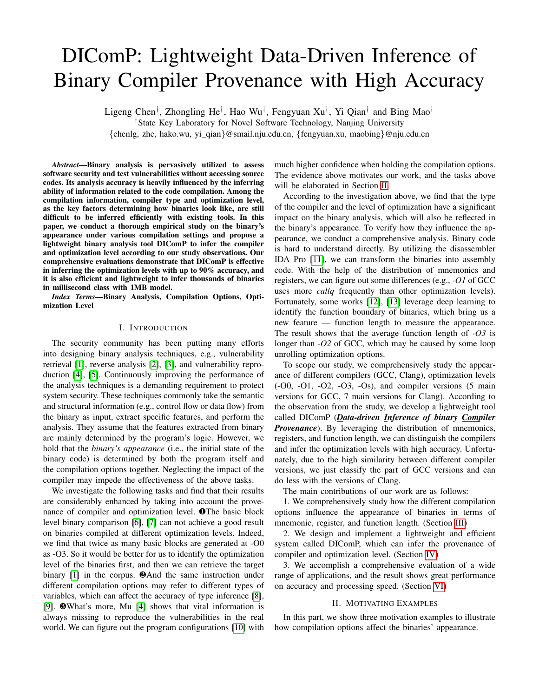$$
(c_s; o_t) = \frac{\chi^n}{\sum_{i=1}^n} \frac{\text{LoA}(p_i; c_s; o_t)}{\text{LoS}(p_i)} \qquad (1)
$$

As shown in the formula,  $(c_s; o_t)$  denotes the assembly expansion rate of the concrete compile rand optimization level  $o_t$ . LoA( $p_i$ ;  $c_s$ ;  $o_t$ ) denotes the lines of the assembly code which is compiled from the program with compiler  $c_s$  and optimization leveb<sub>t</sub>. LoS( $p_i$ ) denotes the lines of program p<sub>i</sub>'s source code. In this work, we use a datasetFig. 3: Relationships between different GCC optimization levels.  $P = f p_1; p_2; \dots; p_n q$ , a compiler setC = f GCC; Clangg, and a optimization level  $\text{sd}0 = f(0)$ ; O1; O2; O3; Osg. In this part, we leave the compiler version aside which has littlecluded in the higher optimization levelsOs is equipped in uence on the statistical result. So we compile the sourceith all the options of O2 but also some more options aiming code with different versions of compiler, and average the tune for code size rather than execution speed. According result. As shown in Figure 3, ranging fromO0 to -Ofast the optimization options of lower optimization levels are properly to the usage frequency, we select 5 mainstream optimization

The expansion rate of stands for the mapping relationshipsevels for analysis, which are O0, -O1, -O2, -O3 and -Os between lines of source code and lines of assembly code withMnemonic. According to of cial GCC documentation, we different compilation options. The smaller the rate the more the compiled binary is compressed. nd that -O1 has 45 more options than 00, -O2 has 48 more options than-O1,  $-O3$  has 16 more options than  $O2$ , and -

code on different compilers and optimization levels.

| Compiler | D.L. |        | Compiler | 0.L. |        |
|----------|------|--------|----------|------|--------|
| GCC      | ΟO   | 3.6747 | Clang    | O0   | 3.8167 |
| GCC      | O1   | 2.1508 | Clang    | ౧1   | 2.1324 |
| GCC      | O2   | 2.2491 | Clang    | O2   | 2.4421 |
| GCC      | O3   | 2.7876 | Clang    | O3   | 2.6085 |
| GCC      | Os   | 1.9298 | Clang    | Os   | 2.0665 |

(1) debugging experience. of optimization options. There are alsofastwhich disregards strict standards compliance and optimizes the

TABLE IV: Mapping relationship between assembly code and sourOs has 6 more options tharO2. It seems that, among the neighboring optimization levels, O2 and -O1 are the most different, and-O2 and -Os are the hardest to be classi ed, due to that the number of different options directly inuence the difference on the appearance. However, after we conduct a coarse-grained survey, we nd thad 2 and -O3 are most

Table IV shows the expansion rate of different compiler similar. The reason for the phenomenon is that adopts many vectorizing algorithms to improve the parallel execution

and optimization levels. The result of GCC is presented on the code, but its optimization conditions are relatively the left, and the result of Clang is on the right. GCC has harsh, leading to the frequency of occurrence is relatively low. a similar expansion rate of with Clang in the same level halon, is dailing to the requested of costations is relatively for of optimization. The expansion rate of both of them is also O2 and-O3 is identical.

very similar in the changing trend of the optimization level ABLE V: Percentage of selected mnemonics at different GCC The expansion rate of O0 is the largest under both compilersoptimization levels.

because it has the least optimization options. The sudden Mne decrease in the expansion rate Off is also due to the increase of optimization options. The expansion rate  $d/2$  and -O3 is relatively increased because the compilation takes the optimization of the run-time into account and may expand the loop. Optimization level-Osis special because it considers the size of the binary, so it has the smallest expansion rate under both GCC and Clang.

| Mnemonic | $G-O0$  | $G-O1$  | $G-O2$  | $G$ -O3 | $G-Os$  |
|----------|---------|---------|---------|---------|---------|
| mov      | 50.084% | 35.069% | 31.514% | 31.053% | 31.160% |
| callg    | 5.721%  | 7.947%  | 7.009%  | 6.520%  | 6.991%  |
| lea      | 4.188%  | 6.075%  | 5.527%  | 5.713%  | 5.739%  |
| ie       | 2.855%  | 4.686%  | 4.655%  | 4.829%  | 4.650%  |
| cmp      | 2.188%  | 4.133%  | 4.098%  | 4.522%  | 4.446%  |
| pop      | 0.575%  | 2.507%  | 3.281%  | 2.835%  | 3.060%  |
| push     | 1.297%  | 2.667%  | 2.520%  | 2.192%  | 2.501%  |
| xor      | 0.648%  | 0.870%  | 3.463%  | 3.151%  | 3.353%  |
| cmp      | 2.188%  | 4.133%  | 4.098%  | 4.522%  | 4.446%  |
| movdga   | 0.008%  | 0.015%  | 0.026%  | 0.252%  | 0.229%  |
|          |         |         |         |         |         |

# B. Optimization Level

To better observe the difference between the optimization levels, we mainly selected some high-frequency mnemonics

We now investigate how binaries behave under differeahd the mnemonics with relatively large discrimination beoptimization levels. According to the presented result in theveen -O2 and -O3. As shown in Table V, we select 10 previous section, GCC and Clang have different system denemonics from the data set. Column 2 to 6 show the signs, which leads to the different distribution of mnemonics sitribution of mnemonics ofO0, -O1, -O2, -O3 and -Os and registers. In this section, we concentrate on the impatotm GCC. We can nd thatO0 appears very different from caused by optimization levels. We study the distribution one rest of the optimization levels, mainly because it is the mnemonics, registers, and function length compiled fromefault optimization level to reduce compilation time and make different optimization levels under the same compiler. debugging produce the expected results. As for, it appears

a) Optimization Levels of GCCAccording to the of cial much similar to others, but we can still nd some differences documents, GCC has many optimization levels with differem the distribution ofpop and xor. According to the table, purposes, and there are associations between them. Besides thean hardly nd the difference betwee 02, -O3, and-Os. default option-O0, -O1, -O2 and-O3 consists of different sets There is only slight difference betwee@2 and-O3 on callq,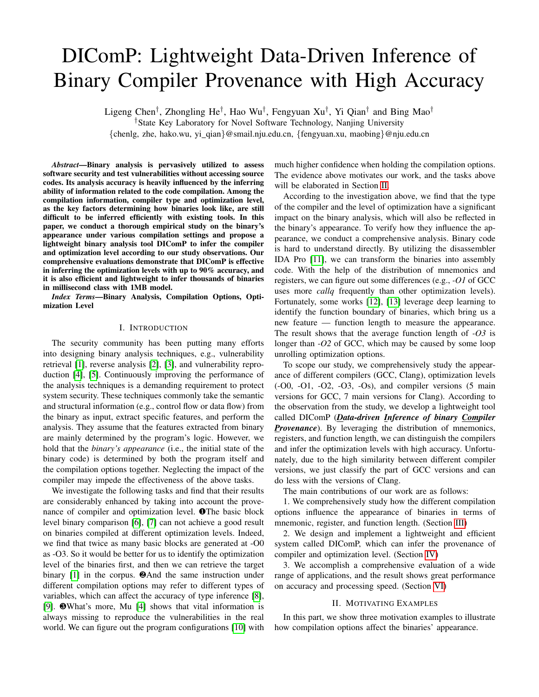$cmp$  and movdqa Due to the optimization purpose  $eDs$ , it prefers to use mnemonics for code space compression.

Register. As shown in Table VI, column 2 to 6 separately linking library functions. shows the distribution of registers  $dD0$ , -O1, -O2, -O3 and -Os. Optimization level-O0 still stands out from others. prefers to leverag%rbp for passing pointer rather that is p. Higher optimization levels optimize the size of the bin code, so they utilize much mollerspto maintain the structure of the stack. For the general register  $\odot$  employs%rax at about one-third of registers to pass arithmetic, while other optimization levels prefer to use more diverse registers optimize the process of arithmetic passing. Although has no obvious distinction, we can still see some differences the comparison withO0 and-O2. On the other hand, O2 and -O3, there is little difference in the distribution of registe Only in Row 8 to 10 can we gure out some little difference between them. It is because the optimization optionsOff optimizes the inline functions. Optimization leveDs almost

| Register        | $G-O0$  | $G-O1$  | G-02    | $G$ -O3 | G-Os    |
|-----------------|---------|---------|---------|---------|---------|
| %ecx            | 1.084%  | 1.878%  | 2.116%  | 2.260%  | 2.256%  |
| $%$ rcx         | 2.148%  | 3.193%  | 3.068%  | 3.133%  | 3.179%  |
| %edi            | 0.682%  | 1.675%  | 1.738%  | 1.776%  | 1.830%  |
| %rdi            | 3.904%  | 7.902%  | 7.175%  | 6.826%  | 7.273%  |
| %edx            | 3.844%  | 3.472%  | 3.562%  | 3.688%  | 3.695%  |
| %rdx            | 7.394%  | 5.597%  | 5.158%  | 5.199%  | 5.092%  |
| %rbp            | 23.279% | 4.988%  | 4.464%  | 4.211%  | 4.326%  |
| $%$ rbx         | 0.919%  | 7.674%  | 6.692%  | 6.375%  | 6.720%  |
| %rsp            | 1.865%  | 7.881%  | 7.198%  | 6.934%  | 6.797%  |
| %r10d           | 0.011%  | 0.163%  | 0.344%  | 0.410%  | 0.368%  |
| %r11d           | 0.004%  | 0.129%  | 0.247%  | 0.305%  | 0.287%  |
| %r12            | 0.204%  | 3.177%  | 2.976%  | 2.877%  | 2.874%  |
| %r13            | 0.095%  | 2.334%  | 2.370%  | 2.309%  | 2.233%  |
| %r14            | 0.099%  | 1.957%  | 2.124%  | 2.126%  | 1.983%  |
| %r15            | 0.115%  | 1.824%  | 1.985%  | 2.005%  | 1.876%  |
| %cs             | 0.020%  | 0.037%  | 0.481%  | 0.387%  | 0.251%  |
| %eax            | 12.649% | 7.856%  | 7.542%  | 7.400%  | 7.677%  |
| % <sub>ax</sub> | 30.676% | 14.411% | 16.692% | 16.049% | 14.472% |

resulting in the abnormal peaks at 10, 40, and 60. There is also a peak at the length of 3, which is caused by dynamically

|      | $0000000000000640$ < plt>:                                   |
|------|--------------------------------------------------------------|
| It   | 640: ff 35 52 09 20 00<br>pushq 0x200952(%rip)               |
|      | 646: ff 25 54 09 20 00<br>* 0x200954(%rip)<br>jmpq           |
|      | 64c: 0f 1f 40 00<br>nopl 0x0(%rax)                           |
| ıary |                                                              |
|      | 0000000000000650 <putchar@plt>:</putchar@plt>                |
| re   | 650: ff 25 52 09 20 00                                       |
|      | 656: 68 00 00 00 00<br>pushq \$0x0                           |
|      | 65b: e9 e0 ff ff ff<br>$640$ < plt><br>jmpq<br>)the r        |
|      | <b>app30000000000660</b> <__stack_chk_fail@plt>:             |
|      | 660: ff 25 4a 09 20 00<br>$impq \rightarrow 0x20094a$ (%rip) |
|      | 666: 68 01 00 00 00<br>pushq \$0x1                           |
|      | <b>from3</b> 6b: e9 d0 ff ff ff<br>$impq$ 640 <.plt>         |
|      |                                                              |
|      | 0000000000000670 <printf@plt>:</printf@plt>                  |
|      | ers 670: ff 25 42 09 20 00<br>* 0x200942(%rip)<br>jmpq       |
|      | 676: 68 02 00 00 00<br>pushq \$0x2                           |
|      | <b>CC</b> 67b: e9 c0 ff ff ff<br>$640$ <.plt><br>jmpq        |
|      |                                                              |

appears the same a 32 in the register table, while it still has from the library, we will rst jump to table.plt (Procedure some difference withO2 on the distribution of mnemonics. Linkage Table). Due to the mechanism of dynamic linking, TABLE VI: Selected registers of different GCC optimization levels. when we rst call the functionprintf, we jump to tableplt and Take the code above as an example. When we call a function

ll the real address in the tableGOT (Global Offset Table) for use the next time. Thus, every time we call a library function, we will get a function with 3 lines of assembly code.

According to Figure 4,-O0 still behaves quite differently from other optimization levels. Functions with length of 1, 2, 4 can distinguish-O2 and -O3. But it can not provide much information for its limited amount. Besides, other parts of the gure, can not provide more features to distinguish between -O2 and-O3, which even confuse the boundary betweers and them.

b) Optimization Levels of ClangAfter thoroughly investigating the appearance in uenced by different GCC optimization levels, we follow the same procedure to study the optimization levels of Clang. The relationships of different

Function Length. As mentioned in the previous subsectionoptimization levels of Clang are similar to the relationships of the expansion rate of of different optimization levels appears GCC. There is, however, a small difference that appears on quite different. That is to say, one single line of source cod**e**s of Clang, which drops some optimization options from maps to a different amount of binary code when compiled witD2. To compare with GCC, we select optimization leve00, different optimization levels. To align the code and maintairO1, -O2, -O3 and -Os from Clang for analysis.

an appearance that can be easily understood by humans, we hemonic. For the simultaneous comparison between comcount the function length at the assemble code level, whipliers and optimization levels, we select mnemonics as decan be easily generated from the binary code with the help sofribed previously. objdump.

TABLE VII: Selected mnemonics of different Clang optimization levels.

| $C-O0$  | $C-O1$  | $C-O2$  | $C-O3$  | C-Os    |
|---------|---------|---------|---------|---------|
| 47.960% | 33.357% | 32.800% | 32.574% | 33.494% |
| 5.591%  | 8.123%  | 6.581%  | 6.458%  | 6.813%  |
| 1.441%  | 3.440%  | 3.728%  | 3.734%  | 3.660%  |
| 2.466%  | 4.073%  | 4.481%  | 4.505%  | 4.360%  |
| 3.384%  | 3.564%  | 4.451%  | 4.626%  | 4.566%  |
| 2.141%  | 2.832%  | 3.106%  | 3.317%  | 3.141%  |
| 0.357%  | 3.912%  | 4.301%  | 4.424%  | 4.196%  |
| 4.340%  | 3.409%  | 3.634%  | 3.707%  | 3.475%  |
| 6.217%  | 2.225%  | 2.253%  | 2.284%  | 2.235%  |
| 0.030%  | 1.760%  | 1.774%  | 1.569%  | 1.728%  |
|         |         |         |         |         |

Fig. 4: Amount distribution of function length of binaries compiled from GCC with different optimization levels.

As shown in Figure 4, we can see the distribution of different lengths of functions (assembly-level) from binaries compiled with different optimization levels. Due to the lim-

itation of the gure length, we merge some data. We take As shown in Table VII, column 2 to 6 show the distribution different intervals in points of 10, 40, 60, 140, 200, and 400 f mnemonics of-O0, -O1, -O2, -O3 and -Os from Clang.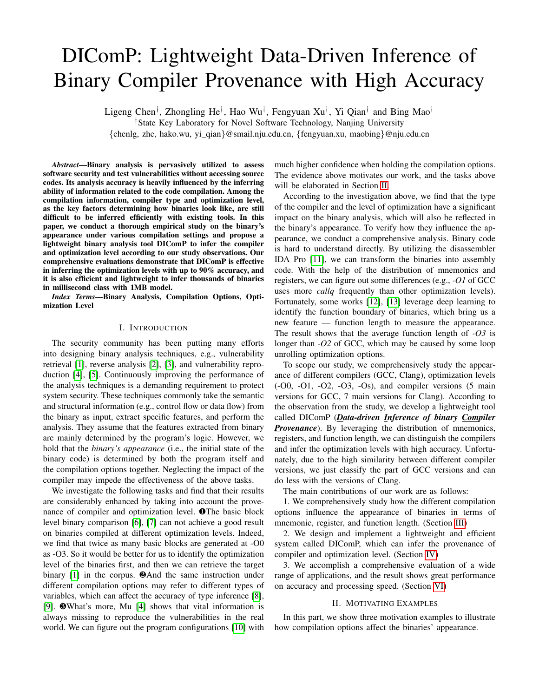-O0 behaves differently among all of the selected mnemonics. We select the mainstream versions of GCC (5, 6, 7, 8, 9) On the one hand,O0 has a large amount onov, which even and Clang  $(3.9, 4, 5, 6, 7, 8, 9)$ . The investigation result is takes up half. On the other han Q0 is only equipped with not satis ed. As shown in Figure 2, no matter the distribution less amount ofestandjmp than other optimization levels. As of mnemonics or registers, we can not summarize one single for -O1 and -Os of Clang, they still have slightly differencesrule to distinguish them. We also analyze the distribution of between others. Tracing back to Table  $\bigotimes 2$  and -O3 of function length, but still, nothing can help.

GCC have distinctions on the distribution oallq and cmp while -O2 and -O3 of Clang seems have an even percent of these mnemonics, which really confuses both of human experts and machines. To gure out the root cause, we look up the document and nd thatO2 and -O3 of Clang only have 2 different options. The reason above may explain why<br>the armesserence and an of clare is as similar. the appearance of D2 and -O3 of Clang is so similar.

TABLE VIII: Selected registers of different Clang O.L.

|                 |         | ت -     |         |         |         |
|-----------------|---------|---------|---------|---------|---------|
| Register        | $C-OO$  | $C-O1$  | $C-O2$  | $C$ -O3 | $C-OS$  |
| $%$ ecx         | 5.051%  | 2.743%  | 3.134%  | 3.165%  | 2.256%  |
| $%$ rcx         | 6.975%  | 4.419%  | 5.356%  | 5.361%  | 3.179%  |
| %edi            | 1.028%  | 2.018%  | 2.072%  | 2.060%  | 1.830%  |
| %rdi            | 5.621%  | 7.473%  | 6.528%  | 6.469%  | 7.273%  |
| %edx            | 3.139%  | 2.590%  | 2.846%  | 2.829%  | 3.695%  |
| %rdx            | 4.056%  | 3.221%  | 3.717%  | 3.727%  | 5.092%  |
| %rbp            | 29.858% | 3.624%  | 3.804%  | 3.864%  | 4.326%  |
| %rbx            | 0.249%  | 8.332%  | 6.985%  | 6.939%  | 6.720%  |
| %rsp            | 2.407%  | 6.603%  | 6.119%  | 6.072%  | 6.797%  |
| %r10d           | 0.104%  | 0.125%  | 0.182%  | 0.184%  | 0.368%  |
| %r11d           | 0.061%  | 0.087%  | 0.143%  | 0.145%  | 0.287%  |
| %r12            | 0.068%  | 2.941%  | 2.807%  | 2.816%  | 2.874%  |
| %r13            | 0.056%  | 2.317%  | 2.491%  | 2.515%  | 2.233%  |
| %r14            | 0.067%  | 4.637%  | 3.873%  | 3.830%  | 1.983%  |
| %r15            | 0.050%  | 3.737%  | 3.335%  | 3.294%  | 1.876%  |
| %cs             | 0.271%  | 0.858%  | 0.591%  | 0.576%  | 0.251%  |
| %eax            | 7.978%  | 6.748%  | 6.428%  | 6.448%  | 7.677%  |
| % <sub>rx</sub> | 19.741% | 14.728% | 14.286% | 14.251% | 14.472% |
|                 |         |         |         |         |         |

Register. According to Figure 2, ranging from O1 to -Os of Clang has quite similar distribution of registers. To make the analysis complete enough for our study, we select exactly the same registers as Table VI to II Table VIII. As shown in Table VIII, column 2 to 6 shows the distribution of registers  $\Delta_S$  shown in Table IX we present results of -O0, -O1, -O2, -O3 and-Os from Clang.

-O0 is again clearly distinguished from the others due to 100% 96.8% in column 2 row 3 denotes that,Bindiff to its default settings. As forO1 and -Os, they also have think the binaries compiled by GCC version 5 and 6966% some registers which have different distribution with eacgmilar. We analyze all the binaries in our data set and average other, such as%ecx, %rdx, etc. So we try to dig more them to II the table.

information on the aspect of the register, to class  $\mathbb{D}2$  and -O3. Unfortunately, as we can see in Table VIID2, and -O3 of Clang nearly appear the same on the distribution registers. We look through the whole data set to nd somen the one hand, because the stripped binary does not contain helpful information, but we fail. Due to the symmetry of the table, the symmetric data should be completely consistent, and the data on the diagonal should theoretically be100%. However, the result is not as expected.

Function Length. After failing to distinguish-O2 and-O3 of Clang with the help of mnemonics and registers, we turn triformation. On the other hand, it may be due to the strategy the last feature – function length. As shown in Figure 5, wor Bindiff's matching algorithm, which caused the matching can see the red and orange pillars stand out which represent the i or to match the wrong function. rebuild all the information, resulting in loss of functions or

amount of function length of O0 and-O1. As for mnemonics and registers, the function length does not help distinguish between -O2 and -O3, either.

# C. Compiler Version

In the previous subsections, we investigate how the different compilers and optimization levels in uence the appearance of

binaries. In this part, we try to gure out how the appearance of According to Table IX, neighboring versions have a higher binaries will change across different versions of the compilerimilarity, while versions with a large span share a lower

Clang with different optimization levels.

To further investigate the difference between different compiler versions, we leveragBindiff to measure the similarity between the binaries compiled from different compiler versions.BinDiff is a binary comparison tool commonly used in industry. SinceBinDiff itself does not have the capability to disassemble binaries, it is necessary to use IDA Pro to rstly disassemble the binary and generate an intermediate result to build graph structure for the binare inDiff is based on graph theory, looking for isomorphism graphs in two topological graphs to complete function similarity matching. Although the graph isomorphism problem is still an open problem in academiaBinDiff uses heuristic matching algorithms to make it acceptable in terms of both matching speed and accuracy.

TABLE IX: Similarity comparison between versions of GCC.

|           | $G-5.0$ | G-6.0 | $G - 7.0$ | $G-8.0$ | $G - 9.0$ |
|-----------|---------|-------|-----------|---------|-----------|
| $G - 5.0$ | 99.2%   | 96.9% | 94.1%     | 92.3%   | 82.5%     |
| $G - 6.0$ | 96.8%   | 99.1% | 96.6%     | 95.0%   | 86.7%     |
| $G - 7.0$ | 93.8%   | 96.6% | 99.1%     | 97.0%   | 90.0%     |
| $G-8.0$   | 91.9%   | 95.0% | 96.9%     | 99.2%   | 95.5%     |
| $G-9.0$   | 82.0%   | 86.8% | 89.9%     | 95.4%   | 99.2%     |

As shown in Table IX, we present results of crosscomparison between different versions, which is ranging from

debugging information, the disassembly tool cannot effectively

TABLE X: Similarity comparison between versions of GCC.

|                  | C3.9  | C4.0  | C5.0  | C6.0  | C7.0  | C8.0  | C9.0  |
|------------------|-------|-------|-------|-------|-------|-------|-------|
| C3.9             | 99.2% | 97.7% | 96.5% | 95.2% | 94.4% | 94.0% | 92.3% |
| C4.0             | 97.7% | 99.2% | 98.1% | 97.0% | 96.3% | 95.8% | 94.5% |
| C <sub>5.0</sub> | 96.5% | 98.1% | 99.2% | 98.2% | 97.5% | 97.1% | 95.8% |
| C6.0             | 95.2% | 97.0% | 98.1% | 99.2% | 98.5% | 98.1% | 97.0% |
| C7.0             | 94.4% | 96.3% | 97.5% | 98.5% | 99.2% | 98.7% | 97.7% |
| : C8.0           | 94.0% | 95.9% | 97.1% | 98.1% | 98.7% | 99.2% | 98.3% |
| C9.0             | 92.3% | 94.5% | 95.8% | 97.0% | 97.7% | 98.3% | 99.2% |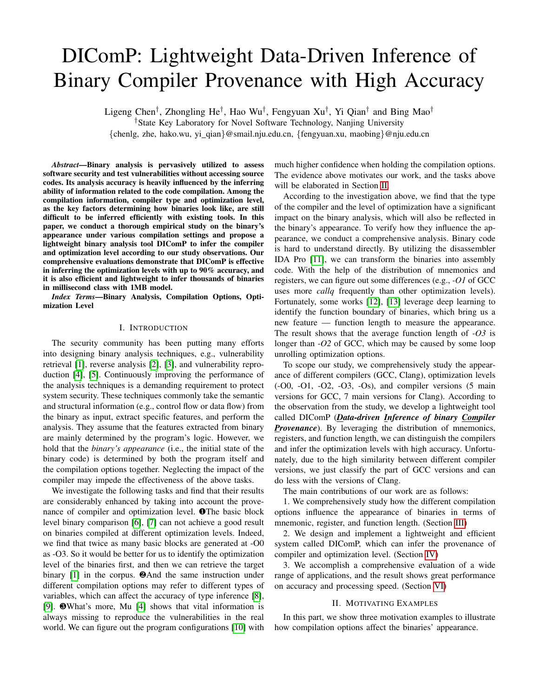Fig. 6: An overview of the system work ow. The sub- gures separately represent the training phase and the testing phase.

similarity. Binaries of GCC version 5 ar86:8% similar to vectors and mark those being the boundaries of functions. Its the GCC version 6, but they are on&20% similar to the accuracy is very high which is almost 100%, and it can well GCC version 9. That is to say, we may distinguish the binariassist the pipeline of inference. compiled from version 9 from version 5, but the neighboring

versions may mislead DIComP.

Also, we analyze the versions of Clang. As shown in Table X, the versions of Clang have a higher similarity between each other. Even the similarity between Clang version 3.9 with Clang version 9 is92:3% (column 2 row 8). This makes it dif cult to distinguish the versions of Clang.

## IV. OVERVIEW

In this section, we provide an overview of our method.

Fig. 7: Structure of hierarchical model.

Given the analysis results above, we try to leverage machineHierarchical Model. Although the advanced machine learnlearning to infer compilation options. According to Figure 6<sub>ing method has enough tting capability to learn the pattern</sub> our prototype consists of two phases, training and testing. each single compilation option with one model, we want The only difference between them is that we utilize debug do it in a ne-grained way and make it more practical. information and the information of compilation options to train As shown in Figure 7, we present the structure of the the Function Boundary Mode and Hierarchical Modelduring the training phase, while we just input the stripped binaries mpiler. Then, we separately train two models to distinguish and get the inference results during the testing phase. hierarchical model. Firstly, we train a model to identify the

Compile. To get a large number of binaries with different ast, we have 10 sets of binaries, which are used to train their compilation options, we rstly compile projects using different wn models to classify the versions. the optimization levels of the binaries for GCC and Clang. At

compilers with different optimization levels and versions. We As mentioned in Section III, we have three sets of features use a script to select a pre-built docker image [20] that can be utilized, mnemonics, registers and function length, contains different compilers. After compilation, we collect all which can be represented as follows, the binaries contributing to the data set.

Extract. In the extraction stage, we usebidumpto disassemble each binary, which can reach 99.4% of accurac $\mathbf F$ eature $(\mathsf{b}_{\mathsf{h}})$  = under our experiment. We split each assembly code into 3 elements: one mnemonic and two operands. Operands may (  $MNE (b_n) = N (mne<sub>1</sub>; mne<sub>2</sub>; ...; mne<sub>i</sub>)$  $REG (b_n) = N (reg_1; reg_2; ...; reg_i)$ FUNL  $(b_n) = N$  (funl 1; funl 2; :::; funl  $_{k}$ )

be left blank if there are less than two operands. Then,  $W^{\text{N}}E$  (b<sub>n</sub>), REG(b<sub>n</sub>), and FUNL(b<sub>n</sub>) denote the matrices count both mnemonics and registers that appear in operartbet are the statistical result of mnemonics, registers and To normalize our data, we divide the frequency of mnemoni $t$  anotion length for the binaryb, with the size of 1 i, and registers by the sum of their frequencies individually, so j and 1 k. At different stages, we will use different that we get the portion of each kind of mnemonic or registerombinations of features to infer the compilation options based We also count the length of the assembly code of each function the experimental results.

and then get a normalized histogram of all the lengths. Finally, Inference Unseen Binaries.Same as the training phase, we put these features into a matrix for each binary for the nexe useobjdumpto disassemble unseen binaries. Then, we use step. the same techniques to extract portions of different mnemonics

Function Boundary Model. To get the length of each and registers. For function length, the function boundary model function, we need to locate the start point and the endpolically helps.

of the stripped binaries. Thanks to the previous works [12], At last, we feed the combination features from mnemonics, [13], we can imitate the prototype of them to accomplish thegisters, and function length into our model and to infer the mission. We use Word2Vec to transfer assembly language indompilation options.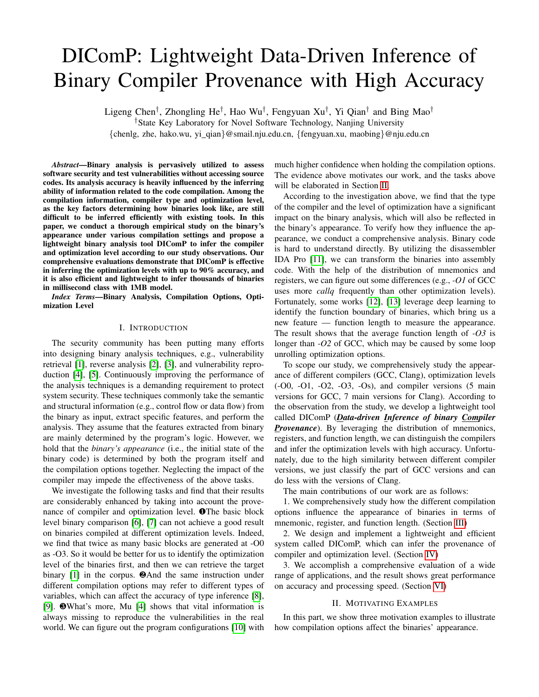# V. I MPLEMENTATION

DIComP.

In this section, we present the implementation of our system sorFlow-CPU backend. For the evaluation part, we use the learning method, we use the Keras [26] package with the machine learning library scikit-learn [27] which calculates the

Model Selection. We aim to propose a practical tool to<sup>metrics</sup> for each stage. gure out the used compilation options from the stripped bina-<br>
Hardware Equipment. All our experiments were congare can be completed the term and the completed on a PC with 16GB memory, 1 Intel i7-4870HQ CPU ries. Security researchers can leverage the tool to improve the completed on a PC with 16GB memory, 1 Intel i7-4870HQ CPU prior diagnosis for the security applications (e.g., vulnerability<sup>2.5</sup> GHz), and 512GB SSD. We use the TensorFlow-CPU patch, reverse engineering). So it must have the following that with Intel MKL support. To make our tool more characteristicsef cient, precise and lightweight. friendly to use, all the experiments can be run on ordinary equipment.

# VI. EVALUATION

DIComP is a machine learning-based method, so we use three performance metrics commonly used to evaluate machine learning classi ers: precision (P), recall (R), and F1 score. Formally, they are de ned as follows:

$$
P = \frac{TP}{TP + FP}; R = \frac{TP}{TP + FN}; F1 = \frac{2 \quad P \quad R}{P + R}
$$

where TP is the true positives, FP is the false positives, FN

Fig. 8: Control Flow over the different optimization levels compiled<sup>s the</sup> false negatives. Precision is the ratio of cases where from the same source code. the predicted value is equal to the given value, which is the

Previously, several works [21]–[23] tried to solve this prob<sup>closeness</sup> of the measurements to each class. The recall is the lem with traditional methods and learning-based methods, but proportion of correct predictions over the set of their class none of them can meet all the needs. It is hard to balance  $\hat{h}$ g, the accuracy ratio of inferring the right compiler or accuracy and ef ciency of the method. ciency of the method. optimization level). F1 score is a balance measurement that

Figure 8 above presents the control ow of the binaries calculated by precision and recall. All three metrics are in compiled from the same source code but with different opti- $\frac{1}{2}$  range of 0 to 1.

examples held the blocks framed in red are referring to the <sup>To fairly</sup> evaluate our method, we split our data set into two mization levels. The blocks framed in red are referring to the same source code. It is obvious that the control ows indeed<sup>arts</sup>, of which one part consists of 80% of binaries for training are slightly different locally and globally. But it can not be<sup>and</sup> another part consists of 20% of binaries for testing. There the most prominent feature to distinguish them. So we take the distribution of mnemonics, registers, and bey are from different applications. is no intersection between the two parts of the binaries, and

function length as features, which also imply the relationshin Evaluation of distinguishing compilers.

of control ow. The way of extracting and embedding the TABLE XI: Classi-cation result of compilers by mnemonic, register features is far moref cient than before. and function length.

| The learning-based method can achieve a great result. So <del>-we-</del>  |       |         |      |      |            |             |                       |      |
|---------------------------------------------------------------------------|-------|---------|------|------|------------|-------------|-----------------------|------|
|                                                                           |       | MNE     |      |      | <b>REG</b> |             | <b>FUNL</b>           |      |
| consider it to make iprecise But RNN-like (Recurrent Neural               |       |         |      |      |            |             |                       |      |
| Networks) models [23], [24] and CNN (Convolutional Neural $\frac{GCC}{C}$ | 00. ا | . 00. ، | 1.00 | 1.00 | 1.00       |             | $1.00$ 0.85 0.26 0.39 |      |
| Clang<br>Networks) models $[25]$ have a great number of narameters        | .00   | .00     | 1.00 | 1.00 | 1.00       | $1.00$ 0.70 | 0.97                  | 0.81 |

Networks) models [25] have a great number which require numerous computational resources. According compiler of the binaries. As shown in Table XI, we to our analysis result, MLP (Multi-Layer Perceptron) is powid our analysis result, MLP (Multi-Layer Perceptron) is pow<sub>present</sub> the classi cation results separately by using mnemon-<br>erful enough to capture the relationship between instruction, (MNE), registers (PEG), and function frequency and the corresponding compilation options. Net (MIL), registere (NLO), and rational engine (1912). only it can cross combine the features, but it is also vertushing the compilers. lightweight. According to the hierarchical model, we rstly distinguish ics (MNE), registers (REG), and function length (FUNL).

Processing Pipeline.We batch compile the source code for setting up the data set. DIComP disassembles the binaries with objdump To gure out the distribution of mnemonics and

|                    | GCC  | Clang |
|--------------------|------|-------|
| i2v RNN [24]       | 0.99 | 0.97  |
| Rosenblum2011 [21] | 0.98 | 0.98  |
| Rosenblum2010 [28] | 0.93 |       |
| <b>DIComP</b>      | 1.00 | 1.00  |
|                    |      |       |

registers, we develop a Python script that leverages regularThe experimental results con rm our previous observations. expressions. According to the previous works [12], [13], wehe binaries compiled from GCC and Clang have an obvious utilize LSTM (Long Short-Term Memory) Networks to learndifferent distribution of mnemonics and registers, which can the function boundary of the binary code which can help ubse utilized to distinguish the compiler, while they are similar know the distribution of function length. For the hierarchicalo the distribution of function length. We individually utilize inferring model, we use MLP as aforementioned to separatelye mnemonics and registers, both of which can distinguish train each part. In all the processes equipped with the machthe compiler with 100% accuracy.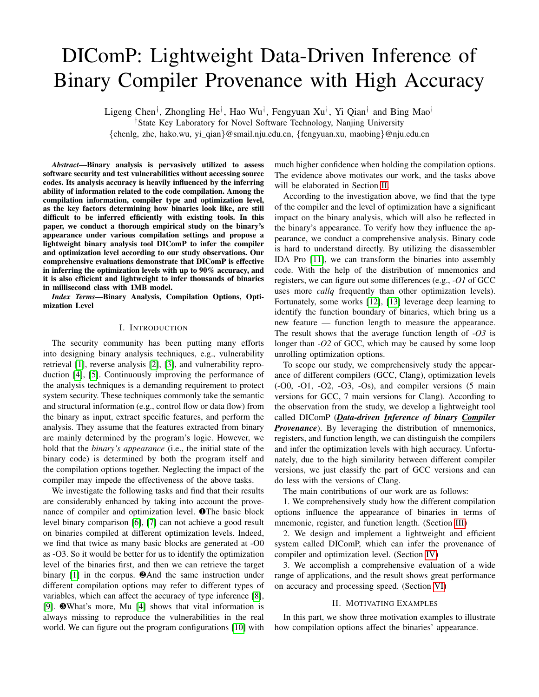Table XII presents the comparison result with previous Table XIV compares DIComP with previous works to works. DIComP outperforms all the works. Rosenblum et adistinguish the optimization level. Except HIMALIA [23], the [28] do not distinguish Clang at their work. rest of the previous works can not distinguish all the levels.

## B. Evaluation of classifying optimization levels.

BinEye [25] groups-O2 and -O3 together. BinComp [22] only distinguishesO0 and -O2. Rosenblum et al. [21] sepa-

C-O0 C-O1 C-O2 C-O3 C-Os Macro avg.

After we easily distinguish the compiler of the strippedately groups-O0 and-O1, -O2 and-O3. DIComP behaves a binaries, we get two sets of binaries compiled from GCC anittle worse at-O1 and-Os than HIMALIA, but the rest of the Clang. So we can classify them into corresponding optimizaptimization levels outperforms all the tools. tion levels on the next stage. TABLE XV: Classi cation result of optimization levels (Clang) by

TABLE XIII: Classi cation result of optimization levels (GCC) by **mnemonic, register and function length**. mnemonic, register and function length

| monomo, regiotor and ranotton longui. |                |        |      |        |        |      |            |                 |                |      |      |      |      |      |                                                             |
|---------------------------------------|----------------|--------|------|--------|--------|------|------------|-----------------|----------------|------|------|------|------|------|-------------------------------------------------------------|
|                                       |                | $G-O0$ | G-01 | $G-O2$ | $G-O3$ | G-Os | Macro avg. |                 | P              | .00  | 0.89 | 0.00 | 0.50 | 0.64 | 0.61                                                        |
|                                       |                |        |      |        |        |      |            | <b>MNE</b>      | R              | 1.00 | 0.95 | 0.00 | 0.73 | 0.96 | 0.73                                                        |
|                                       | P              | 1.00   | 0.98 | 0.41   | 0.31   | 0.89 | 0.72       |                 | F <sub>1</sub> | 00.1 | 0.92 | 0.00 | 0.60 | 0.77 | 0.66                                                        |
| <b>MNE</b>                            | R              | 0.99   | 0.97 | 0.53   | 0.19   | 0.98 | 0.73       |                 | P              | 0.98 | 0.59 | 0.35 | 0.32 | 0.77 | 0.60                                                        |
|                                       | F <sub>1</sub> | 0.99   | 0.98 | 0.46   | 0.24   | 0.93 | 0.72       | <b>REG</b>      | R              | 1.00 | 0.91 | 0.39 | 0.16 | 0.62 | 0.62                                                        |
|                                       | P              | 0.99   | 0.51 | 0.60   | 0.47   | 0.25 | 0.57       |                 | F <sub>1</sub> | 0.99 | 0.71 | 0.37 | 0.22 | 0.68 | 0.60                                                        |
| <b>REG</b>                            | R              | 1.00   | 0.89 | 0.36   | 0.64   | 0.07 | 0.59       |                 | P              | 0.81 | 0.33 | 0.43 | 0.49 | 0.80 | 0.57                                                        |
|                                       | F1             | 1.00   | 0.65 | 0.45   | 0.54   | 0.11 | 0.55       | <b>FUNL</b>     | R              | 0.96 | 0.93 | 0.08 | 0.14 | 0.37 | 0.50                                                        |
|                                       | P              | 0.90   | 0.31 | 0.43   | 0.92   | 0.04 | 0.52       |                 | F <sub>1</sub> | 0.88 | 0.48 | 0.14 | 0.22 | 0.50 | 0.44                                                        |
| <b>FUNL</b>                           | R              | 0.96   | 0.95 | 0.07   | 0.63   | 0.00 | 0.52       | MNE+REG         | P              | 1.00 | 0.86 | 0.51 | 0.53 | 0.86 | 0.75                                                        |
|                                       | F1             | 0.93   | 0.47 | 0.12   | 0.75   | 0.00 | 0.45       |                 | R              | 1.00 | 0.96 | 0.62 | 0.30 | 0.95 | 0.77                                                        |
| MNE+REG                               | P              | 1.00   | 1.00 | 0.52   | 0.41   | 0.72 | 0.73       |                 | F <sub>1</sub> | 1.00 | 0.91 | 0.56 | 0.39 | 0.90 | 0.75                                                        |
|                                       | R              | 1.00   | 0.92 | 0.47   | 0.34   | 0.98 | 0.74       |                 | P              | 1.00 | 0.50 | 0.53 | 0.51 | 0.80 | 0.67                                                        |
|                                       | F <sub>1</sub> | 1.00   | 0.96 | 0.49   | 0.37   | 0.83 | 0.73       | MNE+FUNL        | R              | 00.1 | 0.97 | 0.19 | 0.25 | 0.97 | 0.68                                                        |
|                                       | P              | 0.94   | 0.96 | 0.87   | 0.81   | 0.82 | 0.88       |                 | F <sub>1</sub> | 1.00 | 0.66 | 0.28 | 0.34 | 0.88 | 0.63                                                        |
| MNE+FUNL                              | R              | 0.99   | 0.95 | 0.75   | 0.74   | 0.96 | 0.88       |                 | P              | 00.1 | 0.43 | 0.45 | 0.49 | 0.92 | 0.66                                                        |
|                                       | F <sub>1</sub> | 0.97   | 0.96 | 0.81   | 0.77   | 0.89 | 0.88       | <b>REG+FUNL</b> | R              | 1.00 | 0.95 | 0.24 | 0.14 | 0.90 | 0.65                                                        |
|                                       | P              | 0.99   | 0.47 | 0.76   | 0.84   | 0.38 | 0.69       |                 | F <sub>1</sub> | 1.00 | 0.59 | 0.32 | 0.21 | 0.91 | 0.61                                                        |
| <b>REG+FUNL</b>                       | R              | 1.00   | 0.85 | 0.75   | 0.65   | 0.16 | 0.68       | All             | P              | 1.00 | 0.57 | 0.46 | 0.46 | 0.95 | 0.69                                                        |
|                                       | F <sub>1</sub> | 1.00   | 0.60 | 0.75   | 0.73   | 0.22 | 0.66       |                 | R              | 1.00 | 0.98 | 0.36 | 0.22 | 0.96 | 0.70                                                        |
|                                       | P              | 1.00   | 0.99 | 0.79   | 0.87   | 0.89 | 0.91       |                 | F <sub>1</sub> | 1.00 | 0.72 | 0.40 | 0.30 | 0.96 | 0.67                                                        |
| All                                   | R              | 1.00   | 0.96 | 0.85   | 0.74   | 0.97 | 0.90       |                 |                |      |      |      |      |      |                                                             |
|                                       | F1             | 1.00   | 0.97 | 0.82   | 0.80   | 0.93 | 0.90       |                 |                |      |      |      |      |      | To verify the transferability of our method, we also accom- |

Firstly, we evaluate the result of inferring the optimization<sup>plish</sup> the experiments to infer the optimization levels of Clang levels from the binaries compiled by GCC. As shown in Tawith the same experimental settings, the results of which are ble XIII, we present the result of using different combination§hown in Table XV. We can gure out thaO0 and O1 can of features to infer the optimization levels. Column 2 to  $6e$  easily distinguished from other optimization levels with the separately show the result of classifyin 00, -O1, -O2, -O3 and -Os. Column 7 shows the average result of all the inaries compiled from-O2, -O3, and -Os are more similar, optimization levels. Merged row 1 to 3 shows the inferring hich is hard to deal with. We can classify the binaries of results of using individual features, mnemonics (MNE), regisOs by leveraging all the features, but this is not suf cient to ters (REG), and function length (FUNL). Merged row 4 to clistinguish betweenO2 and O3. In particular, we nd that shows the inferring results of using combined features, alle feature of function length is not able to distinguish 2 the last merged row shows the result predicted by all thend -O3 of Clang like GCC but even confuses the classi er. features. According to the table Q0, -O1, and -Os of GCC can be inferred from mnemonics' strength. We discover thopmpiled from-O2 and -O3 is very high because there have binaries compiled with-O2 and -O3 of GCC have a quite only two different optimization options. help of mnemonics. Different from GCC, the appearance of the This result con rms that the similarity between the binaries

similar appearance, which is hard for us to distinguish with individual features. Fortunately, when we combine the features of mnemonic and function length, we can roughly classify them. When we utilize all the features, the distinction between -O2 and -O3 will be greater, and the overall performance of inferring all optimization levels is also the best. The direct combination of the features does not produce the above result, all of which is due to the ability of the neural networks to mine the inherent connections of the features.

TABLE XIV: Accuracy comparison with previous works on distinguishing optimization levels of GCC.

|                         | G-O0 | G-01 | G-02 | $G-O3$                   | G-Os                     |  |
|-------------------------|------|------|------|--------------------------|--------------------------|--|
| HIMALIA [23]            | 0.99 | 0.99 | 0.73 | በ 74                     | 0.99                     |  |
| BinEye [25]             | 0.98 | 0.97 |      | 0.98                     |                          |  |
| BinComp <sup>[22]</sup> | 0.91 |      | 0.91 | $\overline{\phantom{0}}$ | $\overline{a}$           |  |
| Rosenblum2011 [21]      | 0.99 |      | 0.99 |                          | $\overline{\phantom{0}}$ |  |
| <b>DIComP</b>           | 1.00 | 0.96 | 0.85 | በ 74                     | 0.97                     |  |

Fig. 9: Confusion matrix of classifying optimization levels. To further analyze the results, we introduce canfusion matrix to help us analyze why some binaries cannot be correctly classi ed. As shown in Figure 9, we present the confusion matrix of optimization levels of GCC and Clang. Take Figure 9 (a) as an example. The horizontal axis represents the ground truth of the binaries, and the vertical axis represents the value predicted by the model of the binaries.